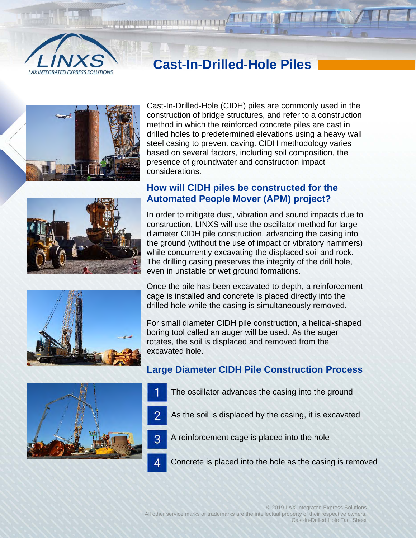

# **Cast-In-Drilled-Hole Piles**



Cast-In-Drilled-Hole (CIDH) piles are commonly used in the construction of bridge structures, and refer to a construction method in which the reinforced concrete piles are cast in drilled holes to predetermined elevations using a heavy wall steel casing to prevent caving. CIDH methodology varies based on several factors, including soil composition, the presence of groundwater and construction impact considerations.

## **How will CIDH piles be constructed for the Automated People Mover (APM) project?**

In order to mitigate dust, vibration and sound impacts due to construction, LINXS will use the oscillator method for large diameter CIDH pile construction, advancing the casing into the ground (without the use of impact or vibratory hammers) while concurrently excavating the displaced soil and rock. The drilling casing preserves the integrity of the drill hole, even in unstable or wet ground formations.



For small diameter CIDH pile construction, a helical-shaped boring tool called an auger will be used. As the auger rotates, the soil is displaced and removed from the excavated hole.

#### **Large Diameter CIDH Pile Construction Process**

- The oscillator advances the casing into the ground
- As the soil is displaced by the casing, it is excavated
- 3 A reinforcement cage is placed into the hole
	- Concrete is placed into the hole as the casing is removed



4

© 2019 LAX Integrated Express Solutions All other service marks or trademarks are the intellectual property of their respective owners. Cast-In-Drilled Hole Fact Sheet